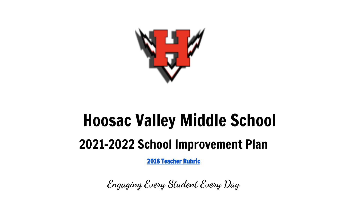

# Hoosac Valley Middle School 2021-2022 School Improvement Plan

2018 [Teacher](https://drive.google.com/file/d/1Jjx-1a794SCm9wVf0gYYWcpCOtPq4YfF/view?usp=sharing) Rubric

**Engaging Every Student Every Day**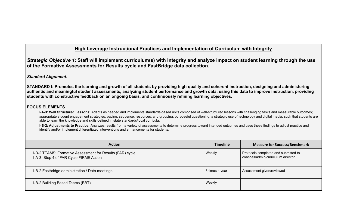## **High Leverage Instructional Practices and Implementation of Curriculum with Integrity**

Strategic Objective 1: Staff will implement curriculum(s) with integrity and analyze impact on student learning through the use **of the Formative Assessments for Results cycle and FastBridge data collection.**

## *Standard Alignment:*

**STANDARD I: Promotes the learning and growth of all students by providing high-quality and coherent instruction, designing and administering authentic and meaningful student assessments, analyzing student performance and growth data, using this data to improve instruction, providing students with constructive feedback on an ongoing basis, and continuously refining learning objectives.**

## **FOCUS ELEMENTS**

**I-A-3: Well Structured Lessons:** Adapts as needed and implements standards-based units comprised of well-structured lessons with challenging tasks and measurable outcomes; appropriate student engagement strategies, pacing, sequence, resources, and grouping; purposeful questioning; a strategic use of technology and digital media; such that students are able to learn the knowledge and skills defined in state standards/local curricula.

**I-B-2: Adjustments to Practice:** Analyzes results from a variety of assessments to determine progress toward intended outcomes and uses these findings to adjust practice and identify and/or implement differentiated interventions and enhancements for students.

| <b>Action</b>                                                                                       | <b>Timeline</b> | <b>Measure for Success/Benchmark</b>                                      |
|-----------------------------------------------------------------------------------------------------|-----------------|---------------------------------------------------------------------------|
| I-B-2 TEAMS: Formative Assessment for Results (FAR) cycle<br>I-A-3 Step 4 of FAR Cycle FIRME Action | Weekly          | Protocols completed and submitted to<br>coaches/admin/curriculum director |
| I-B-2 Fastbridge administration / Data meetings                                                     | 3 times a year  | Assessment given/reviewed                                                 |
| I-B-2 Building Based Teams (BBT)                                                                    | Weekly          |                                                                           |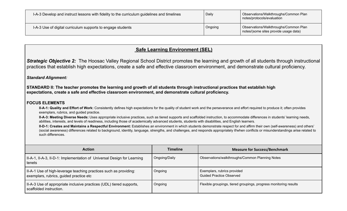| I-A-3 Develop and instruct lessons with fidelity to the curriculum guidelines and timelines | Daily   | Observations/Walkthroughs/Common Plan<br>notes/protocols/evaluation            |
|---------------------------------------------------------------------------------------------|---------|--------------------------------------------------------------------------------|
| I-A-3 Use of digital curriculum supports to engage students                                 | Ongoing | Observations/Walkthroughs/Common Plan<br>notes/(some sites provide usage data) |

## **Safe Learning Environment (SEL)**

*Strategic Objective 2:* The Hoosac Valley Regional School District promotes the learning and growth of all students through instructional practices that establish high expectations, create a safe and effective classroom environment, and demonstrate cultural proficiency.

## *Standard Alignment:*

**STANDARD II: The teacher promotes the learning and growth of all students through instructional practices that establish high expectations, create a safe and effective classroom environment, and demonstrate cultural proficiency.**

### **FOCUS ELEMENTS**

**II-A-1: Quality and Effort of Work:** Consistently defines high expectations for the quality of student work and the perseverance and effort required to produce it; often provides exemplars, rubrics, and guided practice.

**II-A-3: Meeting Diverse Needs:** Uses appropriate inclusive practices, such as tiered supports and scaffolded instruction, to accommodate differences in students' learning needs, abilities, interests, and levels of readiness, including those of academically advanced students, students with disabilities, and English learners.

**II-D-1: Creates and Maintains a Respectful Environment:** Establishes an environment in which students demonstrate respect for and affirm their own (self-awareness) and others' (social awareness) differences related to background, identity, language, strengths, and challenges, and responds appropriately if/when conflicts or misunderstandings arise related to such differences.

| <b>Action</b>                                                                                                | <b>Timeline</b> | <b>Measure for Success/Benchmark</b>                              |
|--------------------------------------------------------------------------------------------------------------|-----------------|-------------------------------------------------------------------|
| II-A-1, II-A-3, II-D-1: Implementation of Universal Design for Learning<br>tenets                            | Ongoing/Daily   | Observations/walkthroughs/Common Planning Notes                   |
| II-A-1 Use of high-leverage teaching practices such as providing:<br>exemplars, rubrics, guided practice etc | Ongoing         | Exemplars, rubrics provided<br><b>Guided Practice Observed</b>    |
| II-A-3 Use of appropriate inclusive practices (UDL) tiered supports,<br>scaffolded instruction.              | Ongoing         | Flexible groupings, tiered groupings, progress monitoring results |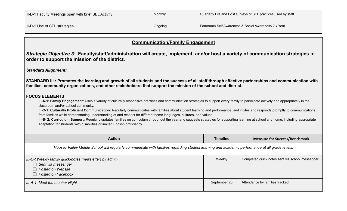| II-D-1 Faculty Meetings open with brief SEL Activity | Monthly | Quarterly Pre and Post surveys of SEL practices used by staff |
|------------------------------------------------------|---------|---------------------------------------------------------------|
| II-D-1 Use of SEL strategies                         | Ongoing | Panorama Self Awareness & Social Awareness 2 x Year           |

| <b>Communication/Family Engagement</b> |
|----------------------------------------|
|----------------------------------------|

Strategic Objective 3: Faculty/staff/administration will create, implement, and/or host a variety of communication strategies in **order to support the mission of the district.**

*Standard Alignment:*

**STANDARD III : Promotes the learning and growth of all students and the success of all staff through effective partnerships and communication with families, community organizations, and other stakeholders that support the mission of the school and district.**

#### **FOCUS ELEMENTS**

**III-A-1: Family Engagement:** Uses a variety of culturally responsive practices and communication strategies to support every family to participate actively and appropriately in the classroom and/or school community.

**III-C-1: Culturally Proficient Communication:** Regularly communicates with families about student learning and performance, and invites and responds promptly to communications from families while demonstrating understanding of and respect for different home languages, cultures, and values.

**III-B- 2: Curriculum Support:** Regularly updates families on curriculum throughout the year and suggests strategies for supporting learning at school and home, including appropriate adaptation for students with disabilities or limited English proficiency.

| <b>Action</b>                                                                                                                                 | <b>Timeline</b> | <b>Measure for Success/Benchmark</b>            |  |
|-----------------------------------------------------------------------------------------------------------------------------------------------|-----------------|-------------------------------------------------|--|
| Hoosac Valley Middle School will regularly communicate with families regarding student learning and academic performance at all grade levels. |                 |                                                 |  |
| III-C-1Weekly family quick-notes (newsletter) by admin<br>$\Box$ Sent via messenger<br>$\Box$ Posted on Website<br>$\Box$ Posted on Facebook  | Weekly          | Completed quick notes sent via school messenger |  |
| III-A-1 Meet the teacher Night                                                                                                                | September 23    | Attendance by families tracked                  |  |